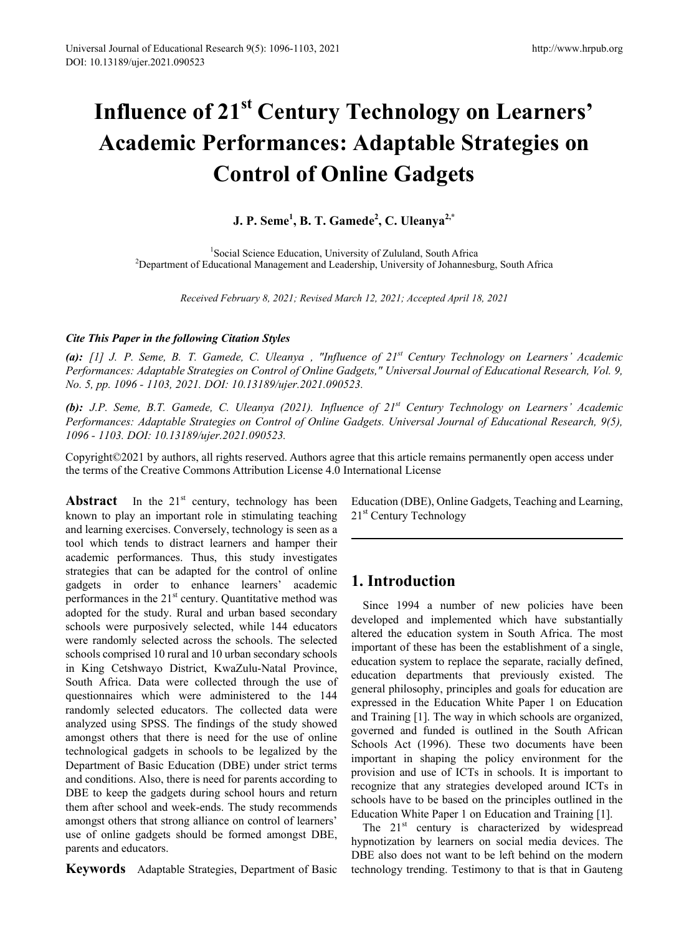# **Influence of 21st Century Technology on Learners' Academic Performances: Adaptable Strategies on Control of Online Gadgets**

## **J. P. Seme1 , B. T. Gamede2 , C. Uleanya2,\***

<sup>1</sup>Social Science Education, University of Zululand, South Africa Social Science Education, University of Zululand, South Africa 2 Department of Educational Management and Leadership, University of Johannesburg, South Africa

*Received February 8, 2021; Revised March 12, 2021; Accepted April 18, 2021*

#### *Cite This Paper in the following Citation Styles*

*(a): [1] J. P. Seme, B. T. Gamede, C. Uleanya , "Influence of 21st Century Technology on Learners' Academic Performances: Adaptable Strategies on Control of Online Gadgets," Universal Journal of Educational Research, Vol. 9, No. 5, pp. 1096 - 1103, 2021. DOI: 10.13189/ujer.2021.090523.* 

*(b): J.P. Seme, B.T. Gamede, C. Uleanya (2021). Influence of 21st Century Technology on Learners' Academic Performances: Adaptable Strategies on Control of Online Gadgets. Universal Journal of Educational Research, 9(5), 1096 - 1103. DOI: 10.13189/ujer.2021.090523.*

Copyright©2021 by authors, all rights reserved. Authors agree that this article remains permanently open access under the terms of the Creative Commons Attribution License 4.0 International License

**Abstract** In the  $21^{st}$  century, technology has been known to play an important role in stimulating teaching and learning exercises. Conversely, technology is seen as a tool which tends to distract learners and hamper their academic performances. Thus, this study investigates strategies that can be adapted for the control of online gadgets in order to enhance learners' academic performances in the  $21<sup>st</sup>$  century. Quantitative method was adopted for the study. Rural and urban based secondary schools were purposively selected, while 144 educators were randomly selected across the schools. The selected schools comprised 10 rural and 10 urban secondary schools in King Cetshwayo District, KwaZulu-Natal Province, South Africa. Data were collected through the use of questionnaires which were administered to the 144 randomly selected educators. The collected data were analyzed using SPSS. The findings of the study showed amongst others that there is need for the use of online technological gadgets in schools to be legalized by the Department of Basic Education (DBE) under strict terms and conditions. Also, there is need for parents according to DBE to keep the gadgets during school hours and return them after school and week-ends. The study recommends amongst others that strong alliance on control of learners' use of online gadgets should be formed amongst DBE, parents and educators.

**Keywords** Adaptable Strategies, Department of Basic

Education (DBE), Online Gadgets, Teaching and Learning, 21<sup>st</sup> Century Technology

# **1. Introduction**

Since 1994 a number of new policies have been developed and implemented which have substantially altered the education system in South Africa. The most important of these has been the establishment of a single, education system to replace the separate, racially defined, education departments that previously existed. The general philosophy, principles and goals for education are expressed in the Education White Paper 1 on Education and Training [1]. The way in which schools are organized, governed and funded is outlined in the South African Schools Act (1996). These two documents have been important in shaping the policy environment for the provision and use of ICTs in schools. It is important to recognize that any strategies developed around ICTs in schools have to be based on the principles outlined in the Education White Paper 1 on Education and Training [1].

The 21<sup>st</sup> century is characterized by widespread hypnotization by learners on social media devices. The DBE also does not want to be left behind on the modern technology trending. Testimony to that is that in Gauteng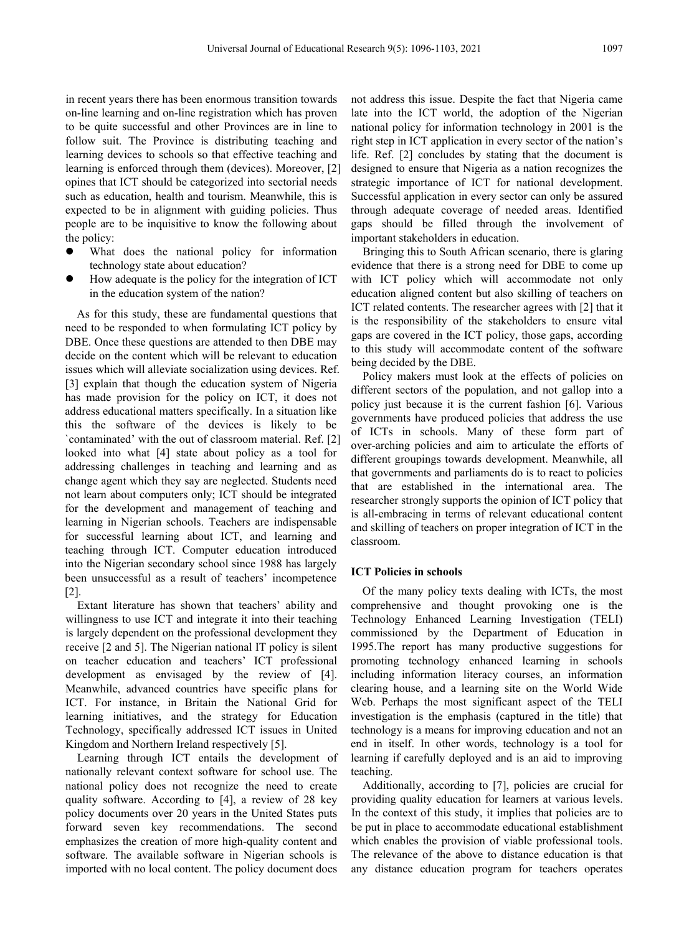in recent years there has been enormous transition towards on-line learning and on-line registration which has proven to be quite successful and other Provinces are in line to follow suit. The Province is distributing teaching and learning devices to schools so that effective teaching and learning is enforced through them (devices). Moreover, [2] opines that ICT should be categorized into sectorial needs such as education, health and tourism. Meanwhile, this is expected to be in alignment with guiding policies. Thus people are to be inquisitive to know the following about the policy:

- What does the national policy for information technology state about education?
- How adequate is the policy for the integration of ICT in the education system of the nation?

As for this study, these are fundamental questions that need to be responded to when formulating ICT policy by DBE. Once these questions are attended to then DBE may decide on the content which will be relevant to education issues which will alleviate socialization using devices. Ref. [3] explain that though the education system of Nigeria has made provision for the policy on ICT, it does not address educational matters specifically. In a situation like this the software of the devices is likely to be `contaminated' with the out of classroom material. Ref. [2] looked into what [4] state about policy as a tool for addressing challenges in teaching and learning and as change agent which they say are neglected. Students need not learn about computers only; ICT should be integrated for the development and management of teaching and learning in Nigerian schools. Teachers are indispensable for successful learning about ICT, and learning and teaching through ICT. Computer education introduced into the Nigerian secondary school since 1988 has largely been unsuccessful as a result of teachers' incompetence [2].

Extant literature has shown that teachers' ability and willingness to use ICT and integrate it into their teaching is largely dependent on the professional development they receive [2 and 5]. The Nigerian national IT policy is silent on teacher education and teachers' ICT professional development as envisaged by the review of [4]. Meanwhile, advanced countries have specific plans for ICT. For instance, in Britain the National Grid for learning initiatives, and the strategy for Education Technology, specifically addressed ICT issues in United Kingdom and Northern Ireland respectively [5].

Learning through ICT entails the development of nationally relevant context software for school use. The national policy does not recognize the need to create quality software. According to [4], a review of 28 key policy documents over 20 years in the United States puts forward seven key recommendations. The second emphasizes the creation of more high-quality content and software. The available software in Nigerian schools is imported with no local content. The policy document does

not address this issue. Despite the fact that Nigeria came late into the ICT world, the adoption of the Nigerian national policy for information technology in 2001 is the right step in ICT application in every sector of the nation's life. Ref. [2] concludes by stating that the document is designed to ensure that Nigeria as a nation recognizes the strategic importance of ICT for national development. Successful application in every sector can only be assured through adequate coverage of needed areas. Identified gaps should be filled through the involvement of important stakeholders in education.

Bringing this to South African scenario, there is glaring evidence that there is a strong need for DBE to come up with ICT policy which will accommodate not only education aligned content but also skilling of teachers on ICT related contents. The researcher agrees with [2] that it is the responsibility of the stakeholders to ensure vital gaps are covered in the ICT policy, those gaps, according to this study will accommodate content of the software being decided by the DBE.

Policy makers must look at the effects of policies on different sectors of the population, and not gallop into a policy just because it is the current fashion [6]. Various governments have produced policies that address the use of ICTs in schools. Many of these form part of over-arching policies and aim to articulate the efforts of different groupings towards development. Meanwhile, all that governments and parliaments do is to react to policies that are established in the international area. The researcher strongly supports the opinion of ICT policy that is all-embracing in terms of relevant educational content and skilling of teachers on proper integration of ICT in the classroom.

#### **ICT Policies in schools**

Of the many policy texts dealing with ICTs, the most comprehensive and thought provoking one is the Technology Enhanced Learning Investigation (TELI) commissioned by the Department of Education in 1995.The report has many productive suggestions for promoting technology enhanced learning in schools including information literacy courses, an information clearing house, and a learning site on the World Wide Web. Perhaps the most significant aspect of the TELI investigation is the emphasis (captured in the title) that technology is a means for improving education and not an end in itself. In other words, technology is a tool for learning if carefully deployed and is an aid to improving teaching.

Additionally, according to [7], policies are crucial for providing quality education for learners at various levels. In the context of this study, it implies that policies are to be put in place to accommodate educational establishment which enables the provision of viable professional tools. The relevance of the above to distance education is that any distance education program for teachers operates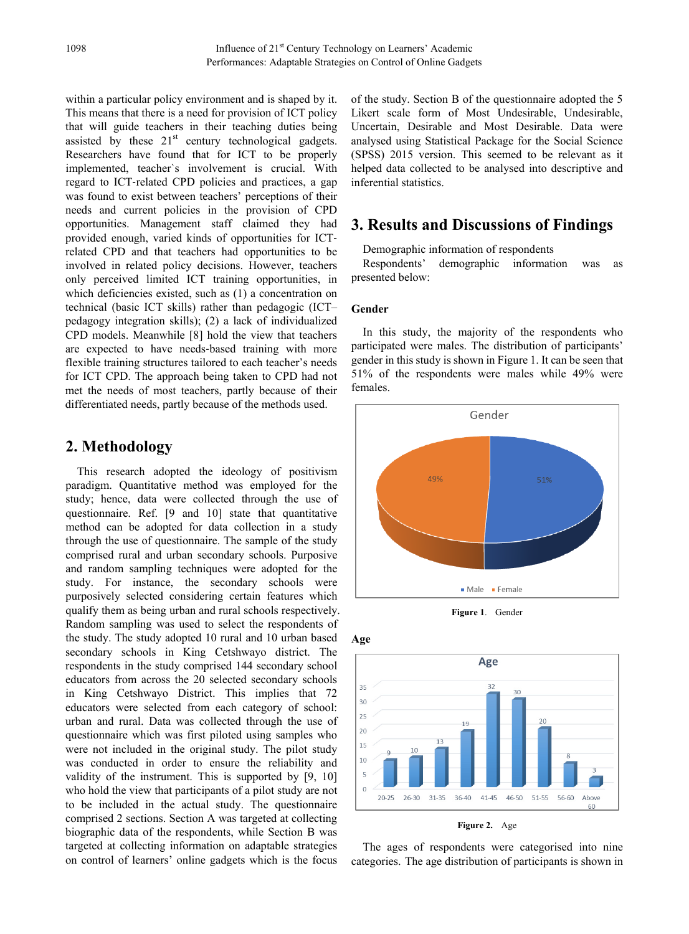within a particular policy environment and is shaped by it. This means that there is a need for provision of ICT policy that will guide teachers in their teaching duties being assisted by these  $21<sup>st</sup>$  century technological gadgets. Researchers have found that for ICT to be properly implemented, teacher`s involvement is crucial. With regard to ICT‐related CPD policies and practices, a gap was found to exist between teachers' perceptions of their needs and current policies in the provision of CPD opportunities. Management staff claimed they had provided enough, varied kinds of opportunities for ICT‐ related CPD and that teachers had opportunities to be involved in related policy decisions. However, teachers only perceived limited ICT training opportunities, in which deficiencies existed, such as (1) a concentration on technical (basic ICT skills) rather than pedagogic (ICT– pedagogy integration skills); (2) a lack of individualized CPD models. Meanwhile [8] hold the view that teachers are expected to have needs‐based training with more flexible training structures tailored to each teacher's needs for ICT CPD. The approach being taken to CPD had not met the needs of most teachers, partly because of their differentiated needs, partly because of the methods used.

## **2. Methodology**

This research adopted the ideology of positivism paradigm. Quantitative method was employed for the study; hence, data were collected through the use of questionnaire. Ref. [9 and 10] state that quantitative method can be adopted for data collection in a study through the use of questionnaire. The sample of the study comprised rural and urban secondary schools. Purposive and random sampling techniques were adopted for the study. For instance, the secondary schools were purposively selected considering certain features which qualify them as being urban and rural schools respectively. Random sampling was used to select the respondents of the study. The study adopted 10 rural and 10 urban based secondary schools in King Cetshwayo district. The respondents in the study comprised 144 secondary school educators from across the 20 selected secondary schools in King Cetshwayo District. This implies that 72 educators were selected from each category of school: urban and rural. Data was collected through the use of questionnaire which was first piloted using samples who were not included in the original study. The pilot study was conducted in order to ensure the reliability and validity of the instrument. This is supported by [9, 10] who hold the view that participants of a pilot study are not to be included in the actual study. The questionnaire comprised 2 sections. Section A was targeted at collecting biographic data of the respondents, while Section B was targeted at collecting information on adaptable strategies on control of learners' online gadgets which is the focus

of the study. Section B of the questionnaire adopted the 5 Likert scale form of Most Undesirable, Undesirable, Uncertain, Desirable and Most Desirable. Data were analysed using Statistical Package for the Social Science (SPSS) 2015 version. This seemed to be relevant as it helped data collected to be analysed into descriptive and inferential statistics.

## **3. Results and Discussions of Findings**

Demographic information of respondents

Respondents' demographic information was as presented below:

#### **Gender**

In this study, the majority of the respondents who participated were males. The distribution of participants' gender in this study is shown in Figure 1. It can be seen that 51% of the respondents were males while 49% were females.



**Figure 1**. Gender



**Figure 2.** Age

The ages of respondents were categorised into nine categories. The age distribution of participants is shown in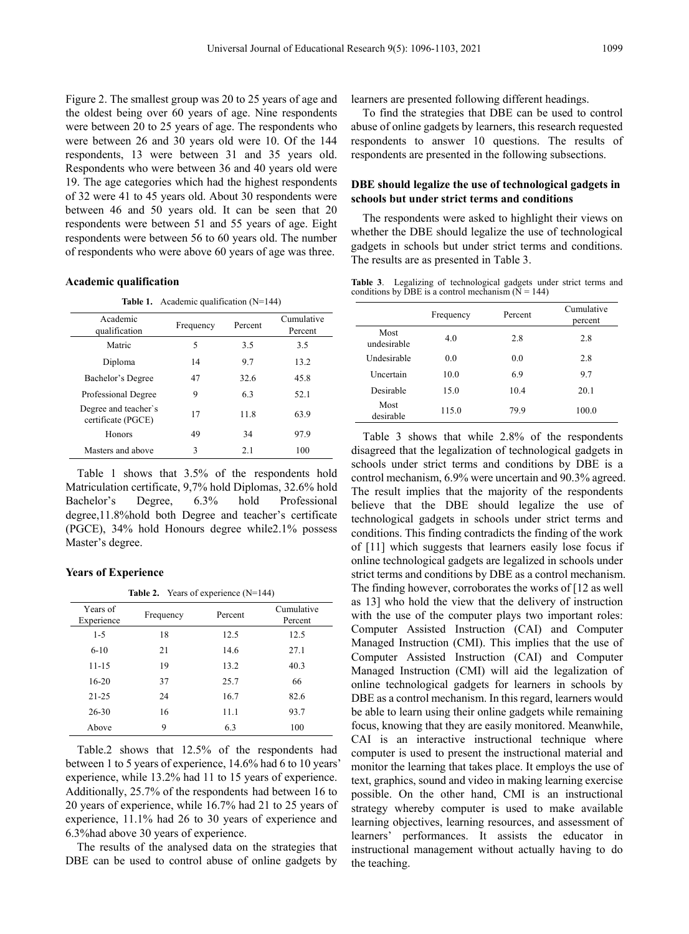Figure 2. The smallest group was 20 to 25 years of age and the oldest being over 60 years of age. Nine respondents were between 20 to 25 years of age. The respondents who were between 26 and 30 years old were 10. Of the 144 respondents, 13 were between 31 and 35 years old. Respondents who were between 36 and 40 years old were 19. The age categories which had the highest respondents of 32 were 41 to 45 years old. About 30 respondents were between 46 and 50 years old. It can be seen that 20 respondents were between 51 and 55 years of age. Eight respondents were between 56 to 60 years old. The number of respondents who were above 60 years of age was three.

#### **Academic qualification**

**Table 1.** Academic qualification (N=144)

| Academic<br>qualification                  | Frequency | Percent | Cumulative<br>Percent |
|--------------------------------------------|-----------|---------|-----------------------|
| Matric                                     | 5         | 3.5     | 3.5                   |
| Diploma                                    | 14        | 9.7     | 13.2                  |
| Bachelor's Degree                          | 47        | 32.6    | 45.8                  |
| Professional Degree                        | 9         | 6.3     | 52.1                  |
| Degree and teacher's<br>certificate (PGCE) | 17        | 11.8    | 63.9                  |
| <b>Honors</b>                              | 49        | 34      | 97.9                  |
| Masters and above                          | 3         | 2.1     | 100                   |

Table 1 shows that 3.5% of the respondents hold Matriculation certificate, 9,7% hold Diplomas, 32.6% hold Bachelor's Degree, 6.3% hold Professional degree,11.8%hold both Degree and teacher's certificate (PGCE), 34% hold Honours degree while2.1% possess Master's degree.

#### **Years of Experience**

**Table 2.** Years of experience (N=144)

| Years of<br>Experience | Frequency | Percent | Cumulative<br>Percent |
|------------------------|-----------|---------|-----------------------|
| $1 - 5$                | 18        | 12.5    | 12.5                  |
| $6 - 10$               | 21        | 14.6    | 27.1                  |
| $11 - 15$              | 19        | 13.2    | 40.3                  |
| $16 - 20$              | 37        | 25.7    | 66                    |
| $21 - 25$              | 24        | 16.7    | 82.6                  |
| $26 - 30$              | 16        | 11.1    | 93.7                  |
| Above                  | 9         | 6.3     | 100                   |

Table.2 shows that 12.5% of the respondents had between 1 to 5 years of experience, 14.6% had 6 to 10 years' experience, while 13.2% had 11 to 15 years of experience. Additionally, 25.7% of the respondents had between 16 to 20 years of experience, while 16.7% had 21 to 25 years of experience, 11.1% had 26 to 30 years of experience and 6.3%had above 30 years of experience.

The results of the analysed data on the strategies that DBE can be used to control abuse of online gadgets by

learners are presented following different headings.

To find the strategies that DBE can be used to control abuse of online gadgets by learners, this research requested respondents to answer 10 questions. The results of respondents are presented in the following subsections.

#### **DBE should legalize the use of technological gadgets in schools but under strict terms and conditions**

The respondents were asked to highlight their views on whether the DBE should legalize the use of technological gadgets in schools but under strict terms and conditions. The results are as presented in Table 3.

**Table 3**. Legalizing of technological gadgets under strict terms and conditions by DBE is a control mechanism  $(N = 144)$ 

|                     | Frequency | Percent | Cumulative<br>percent |
|---------------------|-----------|---------|-----------------------|
| Most<br>undesirable | 4.0       | 2.8     | 2.8                   |
| Undesirable         | 0.0       | 0.0     | 2.8                   |
| Uncertain           | 10.0      | 6.9     | 9.7                   |
| Desirable           | 15.0      | 10.4    | 20.1                  |
| Most<br>desirable   | 115.0     | 79.9    | 100.0                 |

Table 3 shows that while 2.8% of the respondents disagreed that the legalization of technological gadgets in schools under strict terms and conditions by DBE is a control mechanism, 6.9% were uncertain and 90.3% agreed. The result implies that the majority of the respondents believe that the DBE should legalize the use of technological gadgets in schools under strict terms and conditions. This finding contradicts the finding of the work of [11] which suggests that learners easily lose focus if online technological gadgets are legalized in schools under strict terms and conditions by DBE as a control mechanism. The finding however, corroborates the works of [12 as well as 13] who hold the view that the delivery of instruction with the use of the computer plays two important roles: Computer Assisted Instruction (CAI) and Computer Managed Instruction (CMI). This implies that the use of Computer Assisted Instruction (CAI) and Computer Managed Instruction (CMI) will aid the legalization of online technological gadgets for learners in schools by DBE as a control mechanism. In this regard, learners would be able to learn using their online gadgets while remaining focus, knowing that they are easily monitored. Meanwhile, CAI is an interactive instructional technique where computer is used to present the instructional material and monitor the learning that takes place. It employs the use of text, graphics, sound and video in making learning exercise possible. On the other hand, CMI is an instructional strategy whereby computer is used to make available learning objectives, learning resources, and assessment of learners' performances. It assists the educator in instructional management without actually having to do the teaching.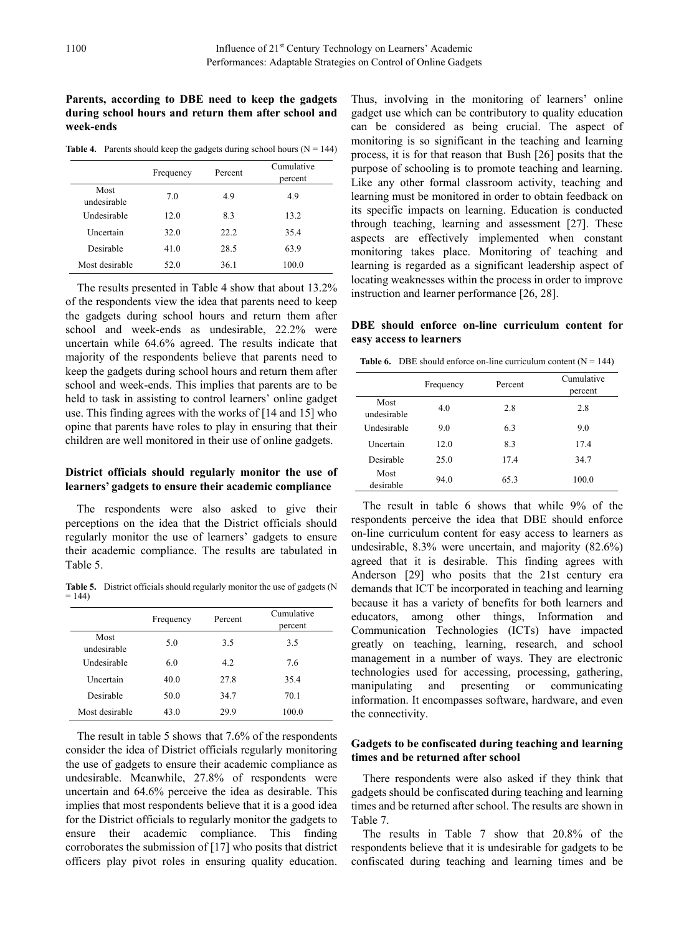#### **Parents, according to DBE need to keep the gadgets during school hours and return them after school and week-ends**

**Table 4.** Parents should keep the gadgets during school hours ( $N = 144$ )

|                     | Frequency | Percent | Cumulative<br>percent |
|---------------------|-----------|---------|-----------------------|
| Most<br>undesirable | 7.0       | 4.9     | 4.9                   |
| Undesirable         | 12.0      | 8.3     | 13.2                  |
| Uncertain           | 32.0      | 22.2    | 35.4                  |
| Desirable           | 41.0      | 28.5    | 63.9                  |
| Most desirable      | 52.0      | 36.1    | 100.0                 |

The results presented in Table 4 show that about 13.2% of the respondents view the idea that parents need to keep the gadgets during school hours and return them after school and week-ends as undesirable, 22.2% were uncertain while 64.6% agreed. The results indicate that majority of the respondents believe that parents need to keep the gadgets during school hours and return them after school and week-ends. This implies that parents are to be held to task in assisting to control learners' online gadget use. This finding agrees with the works of [14 and 15] who opine that parents have roles to play in ensuring that their children are well monitored in their use of online gadgets.

## **District officials should regularly monitor the use of learners' gadgets to ensure their academic compliance**

The respondents were also asked to give their perceptions on the idea that the District officials should regularly monitor the use of learners' gadgets to ensure their academic compliance. The results are tabulated in Table 5.

**Table 5.** District officials should regularly monitor the use of gadgets (N  $= 144$ )

|                     | Frequency | Percent | Cumulative<br>percent |
|---------------------|-----------|---------|-----------------------|
| Most<br>undesirable | 5.0       | 3.5     | 3.5                   |
| Undesirable         | 6.0       | 4.2     | 7.6                   |
| Uncertain           | 40.0      | 27.8    | 35.4                  |
| Desirable           | 50.0      | 34.7    | 70.1                  |
| Most desirable      | 43.0      | 29.9    | 100.0                 |

The result in table 5 shows that 7.6% of the respondents consider the idea of District officials regularly monitoring the use of gadgets to ensure their academic compliance as undesirable. Meanwhile, 27.8% of respondents were uncertain and 64.6% perceive the idea as desirable. This implies that most respondents believe that it is a good idea for the District officials to regularly monitor the gadgets to ensure their academic compliance. This finding corroborates the submission of [17] who posits that district officers play pivot roles in ensuring quality education.

Thus, involving in the monitoring of learners' online gadget use which can be contributory to quality education can be considered as being crucial. The aspect of monitoring is so significant in the teaching and learning process, it is for that reason that Bush [26] posits that the purpose of schooling is to promote teaching and learning. Like any other formal classroom activity, teaching and learning must be monitored in order to obtain feedback on its specific impacts on learning. Education is conducted through teaching, learning and assessment [27]. These aspects are effectively implemented when constant monitoring takes place. Monitoring of teaching and learning is regarded as a significant leadership aspect of locating weaknesses within the process in order to improve instruction and learner performance [26, 28].

#### **DBE should enforce on-line curriculum content for easy access to learners**

**Table 6.** DBE should enforce on-line curriculum content  $(N = 144)$ 

|                     | Frequency | Percent | Cumulative<br>percent |
|---------------------|-----------|---------|-----------------------|
| Most<br>undesirable | 4.0       | 2.8     | 2.8                   |
| Undesirable         | 9.0       | 6.3     | 9.0                   |
| Uncertain           | 12.0      | 8.3     | 17.4                  |
| Desirable           | 25.0      | 17.4    | 34.7                  |
| Most<br>desirable   | 94.0      | 65.3    | 100.0                 |

The result in table 6 shows that while 9% of the respondents perceive the idea that DBE should enforce on-line curriculum content for easy access to learners as undesirable, 8.3% were uncertain, and majority (82.6%) agreed that it is desirable. This finding agrees with Anderson [29] who posits that the 21st century era demands that ICT be incorporated in teaching and learning because it has a variety of benefits for both learners and educators, among other things, Information and Communication Technologies (ICTs) have impacted greatly on teaching, learning, research, and school management in a number of ways. They are electronic technologies used for accessing, processing, gathering, manipulating and presenting or communicating information. It encompasses software, hardware, and even the connectivity.

## **Gadgets to be confiscated during teaching and learning times and be returned after school**

There respondents were also asked if they think that gadgets should be confiscated during teaching and learning times and be returned after school. The results are shown in Table 7.

The results in Table 7 show that 20.8% of the respondents believe that it is undesirable for gadgets to be confiscated during teaching and learning times and be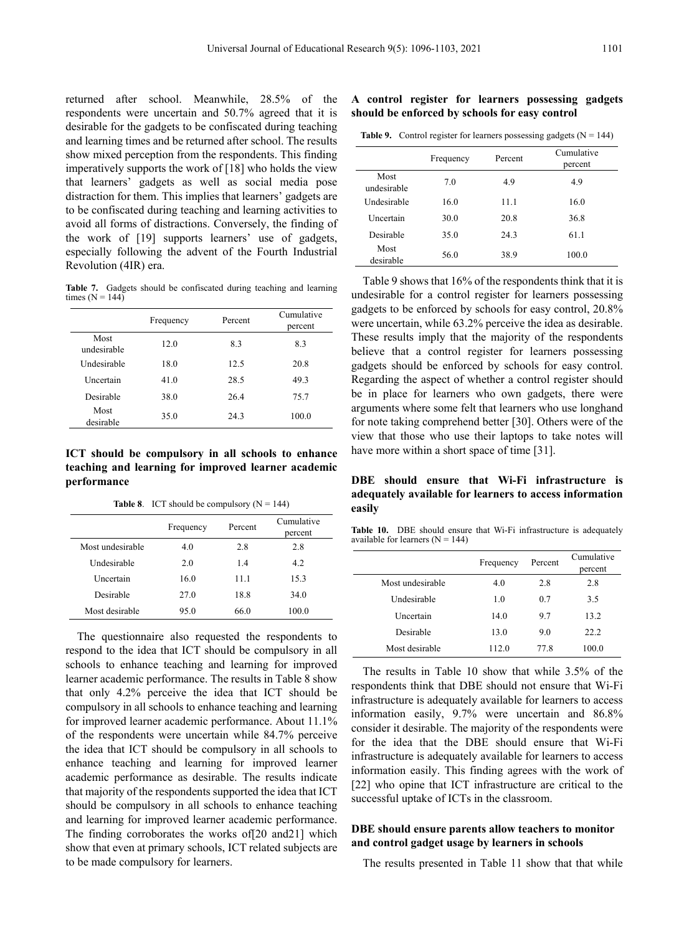returned after school. Meanwhile, 28.5% of the respondents were uncertain and 50.7% agreed that it is desirable for the gadgets to be confiscated during teaching and learning times and be returned after school. The results show mixed perception from the respondents. This finding imperatively supports the work of [18] who holds the view that learners' gadgets as well as social media pose distraction for them. This implies that learners' gadgets are to be confiscated during teaching and learning activities to avoid all forms of distractions. Conversely, the finding of the work of [19] supports learners' use of gadgets, especially following the advent of the Fourth Industrial Revolution (4IR) era.

**Table 7.** Gadgets should be confiscated during teaching and learning times  $(N = 144)$ 

|                     | Frequency | Percent | Cumulative<br>percent |
|---------------------|-----------|---------|-----------------------|
| Most<br>undesirable | 12.0      | 8.3     | 8.3                   |
| Undesirable         | 18.0      | 12.5    | 20.8                  |
| Uncertain           | 41.0      | 28.5    | 49.3                  |
| Desirable           | 38.0      | 26.4    | 75.7                  |
| Most<br>desirable   | 35.0      | 24.3    | 100.0                 |

**ICT should be compulsory in all schools to enhance teaching and learning for improved learner academic performance**

**Table 8**. ICT should be compulsory  $(N = 144)$ 

|                  | Frequency | Percent | Cumulative<br>percent |
|------------------|-----------|---------|-----------------------|
| Most undesirable | 4.0       | 2.8     | 2.8                   |
| Undesirable      | 2.0       | 1.4     | 4.2                   |
| Uncertain        | 16.0      | 11.1    | 15.3                  |
| Desirable        | 27.0      | 18.8    | 34.0                  |
| Most desirable   | 95.0      | 66.0    | 100.0                 |

The questionnaire also requested the respondents to respond to the idea that ICT should be compulsory in all schools to enhance teaching and learning for improved learner academic performance. The results in Table 8 show that only 4.2% perceive the idea that ICT should be compulsory in all schools to enhance teaching and learning for improved learner academic performance. About 11.1% of the respondents were uncertain while 84.7% perceive the idea that ICT should be compulsory in all schools to enhance teaching and learning for improved learner academic performance as desirable. The results indicate that majority of the respondents supported the idea that ICT should be compulsory in all schools to enhance teaching and learning for improved learner academic performance. The finding corroborates the works of[20 and21] which show that even at primary schools, ICT related subjects are to be made compulsory for learners.

**A control register for learners possessing gadgets should be enforced by schools for easy control**

|  | <b>Table 9.</b> Control register for learners possessing gadgets $(N = 144)$ |  |  |
|--|------------------------------------------------------------------------------|--|--|
|--|------------------------------------------------------------------------------|--|--|

|                     | Frequency | Percent | Cumulative<br>percent |
|---------------------|-----------|---------|-----------------------|
| Most<br>undesirable | 7.0       | 4.9     | 4.9                   |
| Undesirable         | 16.0      | 11.1    | 16.0                  |
| Uncertain           | 30.0      | 20.8    | 36.8                  |
| Desirable           | 35.0      | 24.3    | 61.1                  |
| Most<br>desirable   | 56.0      | 38.9    | 100.0                 |

Table 9 shows that 16% of the respondents think that it is undesirable for a control register for learners possessing gadgets to be enforced by schools for easy control, 20.8% were uncertain, while 63.2% perceive the idea as desirable. These results imply that the majority of the respondents believe that a control register for learners possessing gadgets should be enforced by schools for easy control. Regarding the aspect of whether a control register should be in place for learners who own gadgets, there were arguments where some felt that learners who use longhand for note taking comprehend better [30]. Others were of the view that those who use their laptops to take notes will have more within a short space of time [31].

**DBE should ensure that Wi-Fi infrastructure is adequately available for learners to access information easily**

**Table 10.** DBE should ensure that Wi-Fi infrastructure is adequately available for learners (N = 144)

|                  | Frequency | Percent | Cumulative<br>percent |
|------------------|-----------|---------|-----------------------|
| Most undesirable | 4.0       | 2.8     | 2.8                   |
| Undesirable      | 1.0       | 0.7     | 3.5                   |
| Uncertain        | 14.0      | 9.7     | 13.2                  |
| Desirable        | 13.0      | 9.0     | 22.2                  |
| Most desirable   | 112.0     | 77.8    | 100.0                 |

The results in Table 10 show that while 3.5% of the respondents think that DBE should not ensure that Wi-Fi infrastructure is adequately available for learners to access information easily, 9.7% were uncertain and 86.8% consider it desirable. The majority of the respondents were for the idea that the DBE should ensure that Wi-Fi infrastructure is adequately available for learners to access information easily. This finding agrees with the work of [22] who opine that ICT infrastructure are critical to the successful uptake of ICTs in the classroom.

#### **DBE should ensure parents allow teachers to monitor and control gadget usage by learners in schools**

The results presented in Table 11 show that that while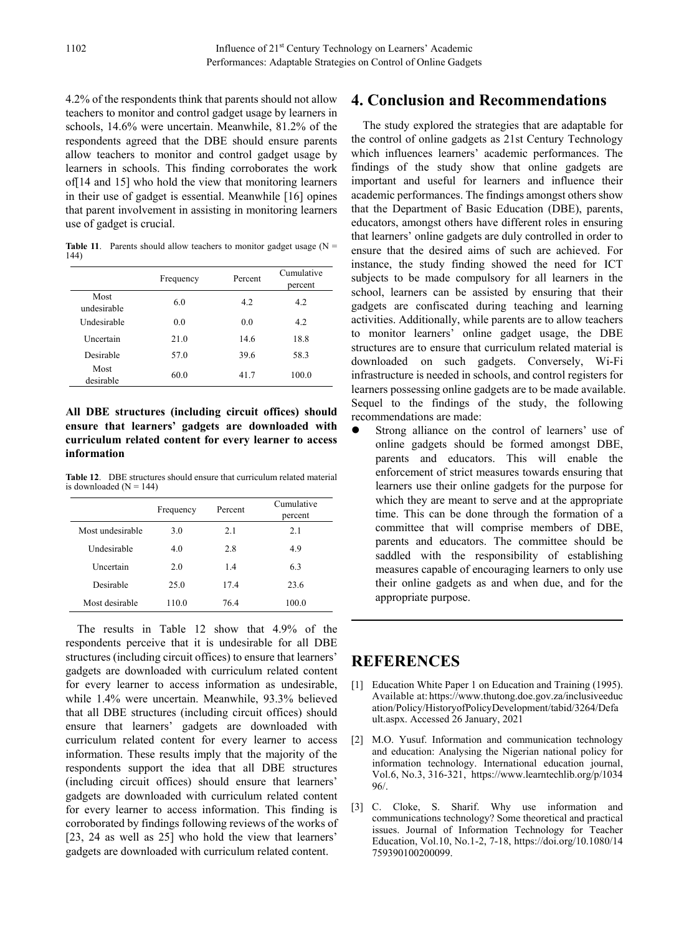4.2% of the respondents think that parents should not allow teachers to monitor and control gadget usage by learners in schools, 14.6% were uncertain. Meanwhile, 81.2% of the respondents agreed that the DBE should ensure parents allow teachers to monitor and control gadget usage by learners in schools. This finding corroborates the work of[14 and 15] who hold the view that monitoring learners in their use of gadget is essential. Meanwhile [16] opines that parent involvement in assisting in monitoring learners use of gadget is crucial.

**Table 11**. Parents should allow teachers to monitor gadget usage  $(N =$ 144)

|                     | Frequency | Percent | Cumulative<br>percent |
|---------------------|-----------|---------|-----------------------|
| Most<br>undesirable | 6.0       | 4.2     | 4.2                   |
| Undesirable         | 0.0       | 0.0     | 4.2                   |
| <b>Uncertain</b>    | 21.0      | 14.6    | 18.8                  |
| Desirable           | 57.0      | 39.6    | 58.3                  |
| Most<br>desirable   | 60.0      | 41.7    | 100.0                 |

**All DBE structures (including circuit offices) should ensure that learners' gadgets are downloaded with curriculum related content for every learner to access information**

**Table 12**. DBE structures should ensure that curriculum related material is downloaded  $(N = 144)$ 

|                  | Frequency | Percent | Cumulative<br>percent |
|------------------|-----------|---------|-----------------------|
| Most undesirable | 3.0       | 2.1     | 2.1                   |
| Undesirable      | 4.0       | 2.8     | 4.9                   |
| Uncertain        | 2.0       | 1.4     | 6.3                   |
| Desirable        | 25.0      | 17.4    | 23.6                  |
| Most desirable   | 110.0     | 76.4    | 100.0                 |

The results in Table 12 show that 4.9% of the respondents perceive that it is undesirable for all DBE structures (including circuit offices) to ensure that learners' gadgets are downloaded with curriculum related content for every learner to access information as undesirable, while 1.4% were uncertain. Meanwhile, 93.3% believed that all DBE structures (including circuit offices) should ensure that learners' gadgets are downloaded with curriculum related content for every learner to access information. These results imply that the majority of the respondents support the idea that all DBE structures (including circuit offices) should ensure that learners' gadgets are downloaded with curriculum related content for every learner to access information. This finding is corroborated by findings following reviews of the works of [23, 24 as well as 25] who hold the view that learners' gadgets are downloaded with curriculum related content.

## **4. Conclusion and Recommendations**

The study explored the strategies that are adaptable for the control of online gadgets as 21st Century Technology which influences learners' academic performances. The findings of the study show that online gadgets are important and useful for learners and influence their academic performances. The findings amongst others show that the Department of Basic Education (DBE), parents, educators, amongst others have different roles in ensuring that learners' online gadgets are duly controlled in order to ensure that the desired aims of such are achieved. For instance, the study finding showed the need for ICT subjects to be made compulsory for all learners in the school, learners can be assisted by ensuring that their gadgets are confiscated during teaching and learning activities. Additionally, while parents are to allow teachers to monitor learners' online gadget usage, the DBE structures are to ensure that curriculum related material is downloaded on such gadgets. Conversely, Wi-Fi infrastructure is needed in schools, and control registers for learners possessing online gadgets are to be made available. Sequel to the findings of the study, the following recommendations are made:

 Strong alliance on the control of learners' use of online gadgets should be formed amongst DBE, parents and educators. This will enable the enforcement of strict measures towards ensuring that learners use their online gadgets for the purpose for which they are meant to serve and at the appropriate time. This can be done through the formation of a committee that will comprise members of DBE, parents and educators. The committee should be saddled with the responsibility of establishing measures capable of encouraging learners to only use their online gadgets as and when due, and for the appropriate purpose.

## **REFERENCES**

- [1] Education White Paper 1 on Education and Training (1995). Available at: https://www.thutong.doe.gov.za/inclusiveeduc ation/Policy/HistoryofPolicyDevelopment/tabid/3264/Defa ult.aspx. Accessed 26 January, 2021
- [2] M.O. Yusuf. Information and communication technology and education: Analysing the Nigerian national policy for information technology. International education journal, Vol.6, No.3, 316-321, https://www.learntechlib.org/p/1034 96/.
- [3] C. Cloke, S. Sharif. Why use information and communications technology? Some theoretical and practical issues. Journal of Information Technology for Teacher Education, Vol.10, No.1-2, 7-18, https://doi.org/10.1080/14 759390100200099.